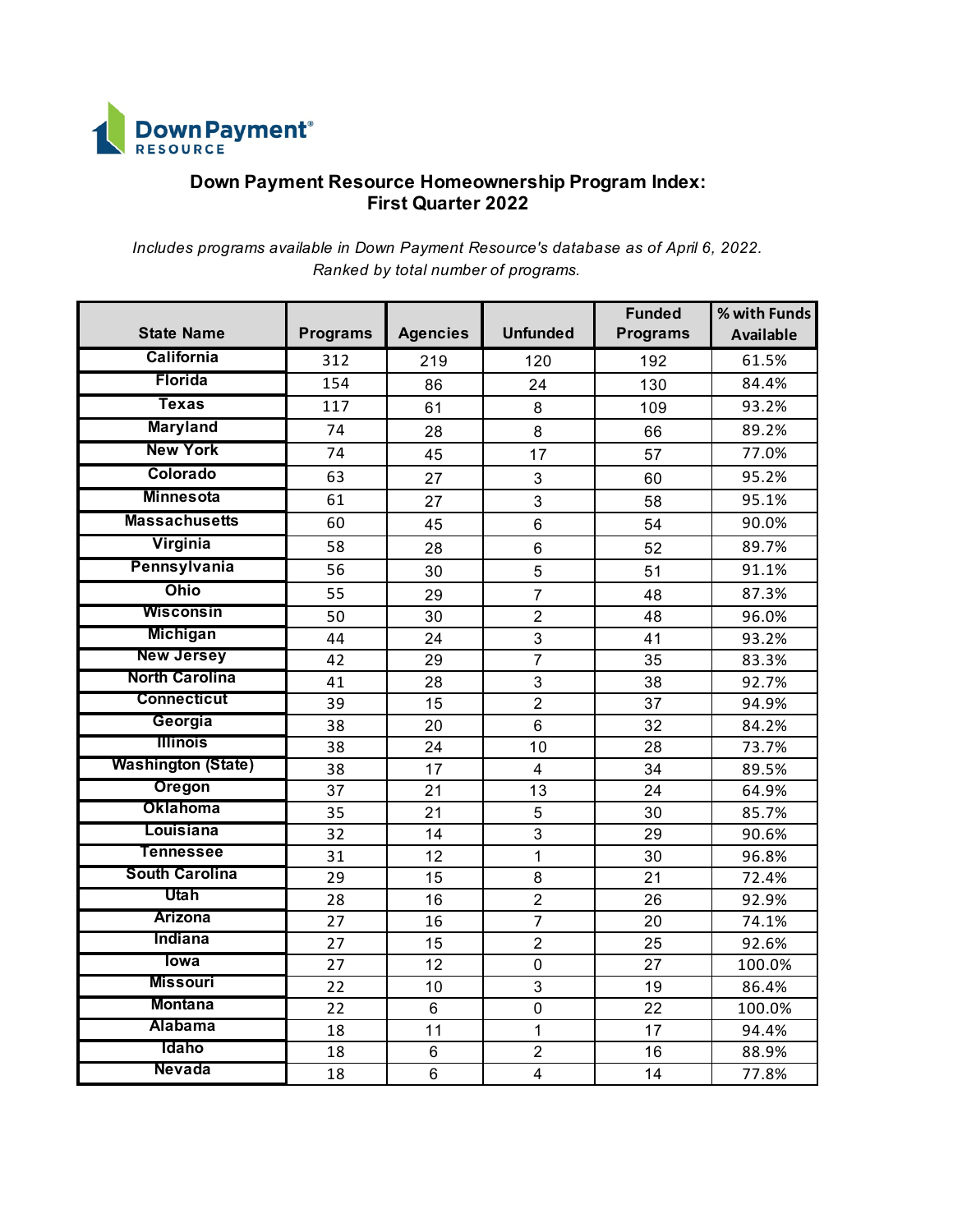

## **Down Payment Resource Homeownership Program Index: First Quarter 2022**

*Includes programs available in Down Payment Resource's database as of April 6, 2022. Ranked by total number of programs.*

| <b>State Name</b>         | <b>Programs</b> | <b>Agencies</b> | <b>Unfunded</b>         | <b>Funded</b><br><b>Programs</b> | % with Funds<br><b>Available</b> |
|---------------------------|-----------------|-----------------|-------------------------|----------------------------------|----------------------------------|
| <b>California</b>         | 312             | 219             | 120                     | 192                              | 61.5%                            |
| Florida                   | 154             | 86              | 24                      | 130                              | 84.4%                            |
| <b>Texas</b>              | 117             | 61              | 8                       | 109                              | 93.2%                            |
| <b>Maryland</b>           | 74              | 28              | 8                       | 66                               | 89.2%                            |
| <b>New York</b>           | 74              | 45              | 17                      | 57                               | 77.0%                            |
| Colorado                  | 63              | 27              | 3                       | 60                               | 95.2%                            |
| <b>Minnesota</b>          | 61              | 27              | 3                       | 58                               | 95.1%                            |
| <b>Massachusetts</b>      | 60              | 45              | 6                       | 54                               | 90.0%                            |
| Virginia                  | 58              | 28              | $\,6$                   | 52                               | 89.7%                            |
| Pennsylvania              | 56              | 30              | 5                       | 51                               | 91.1%                            |
| <b>Ohio</b>               | 55              | 29              | $\overline{7}$          | 48                               | 87.3%                            |
| <b>Wisconsin</b>          | 50              | 30              | $\overline{2}$          | 48                               | 96.0%                            |
| <b>Michigan</b>           | 44              | 24              | 3                       | 41                               | 93.2%                            |
| <b>New Jersey</b>         | 42              | 29              | $\overline{7}$          | 35                               | 83.3%                            |
| <b>North Carolina</b>     | 41              | 28              | 3                       | 38                               | 92.7%                            |
| <b>Connecticut</b>        | 39              | 15              | $\overline{2}$          | 37                               | 94.9%                            |
| Georgia                   | 38              | 20              | 6                       | 32                               | 84.2%                            |
| <b>Illinois</b>           | 38              | 24              | 10                      | 28                               | 73.7%                            |
| <b>Washington (State)</b> | 38              | 17              | $\overline{\mathbf{4}}$ | 34                               | 89.5%                            |
| Oregon                    | 37              | 21              | $\overline{13}$         | 24                               | 64.9%                            |
| <b>Oklahoma</b>           | 35              | 21              | 5                       | 30                               | 85.7%                            |
| Louisiana                 | 32              | 14              | 3                       | 29                               | 90.6%                            |
| <b>Tennessee</b>          | 31              | 12              | 1                       | 30                               | 96.8%                            |
| <b>South Carolina</b>     | 29              | 15              | 8                       | 21                               | 72.4%                            |
| Utah                      | 28              | 16              | $\overline{2}$          | 26                               | 92.9%                            |
| Arizona                   | 27              | 16              | 7                       | 20                               | 74.1%                            |
| Indiana                   | 27              | 15              | $\overline{2}$          | 25                               | 92.6%                            |
| <b>lowa</b>               | 27              | 12              | $\mathbf 0$             | 27                               | 100.0%                           |
| <b>Missouri</b>           | 22              | 10              | 3                       | 19                               | 86.4%                            |
| <b>Montana</b>            | 22              | 6               | $\mathbf 0$             | 22                               | 100.0%                           |
| <b>Alabama</b>            | 18              | 11              | $\mathbf 1$             | 17                               | 94.4%                            |
| Idaho                     | 18              | 6               | $\overline{2}$          | 16                               | 88.9%                            |
| Nevada                    | 18              | $\overline{6}$  | $\overline{4}$          | 14                               | 77.8%                            |